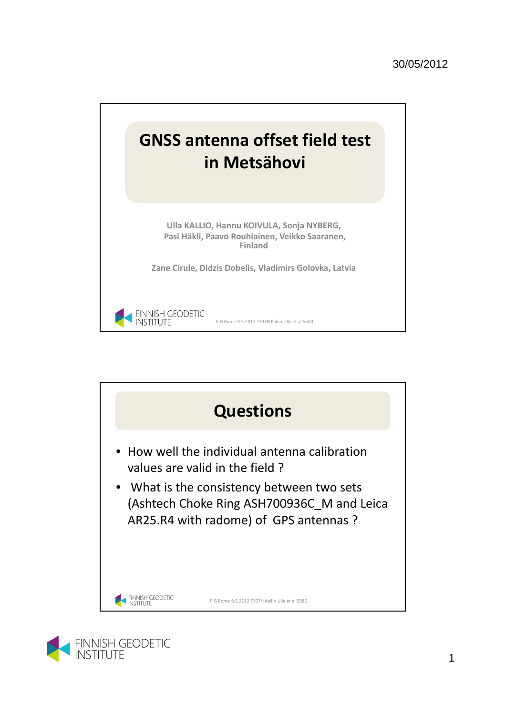



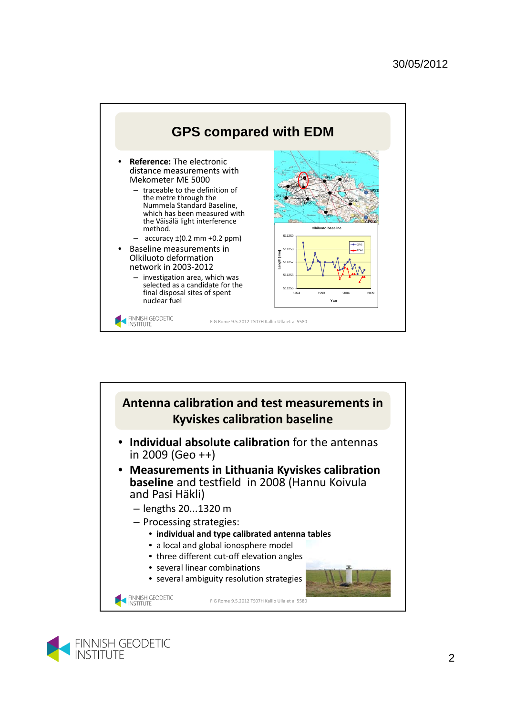



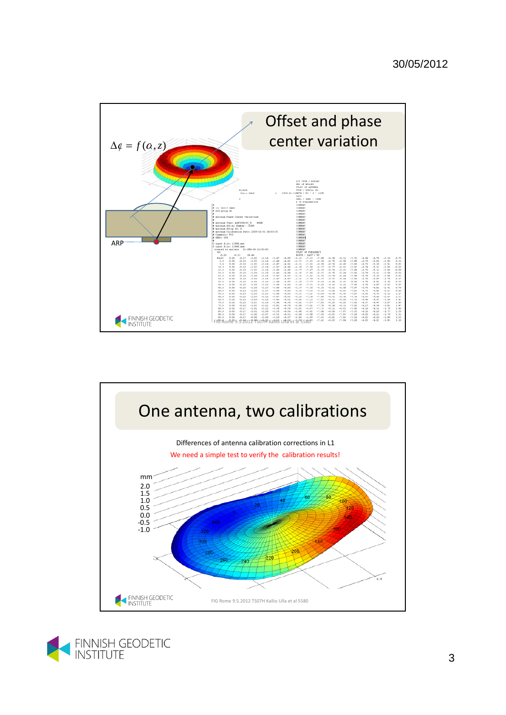



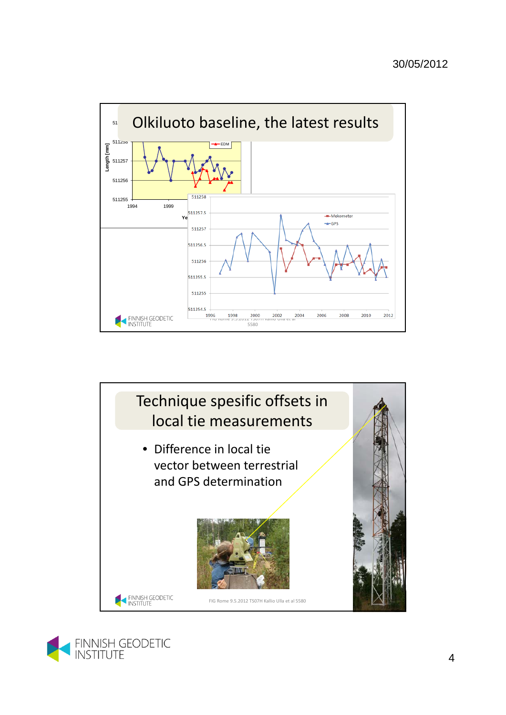



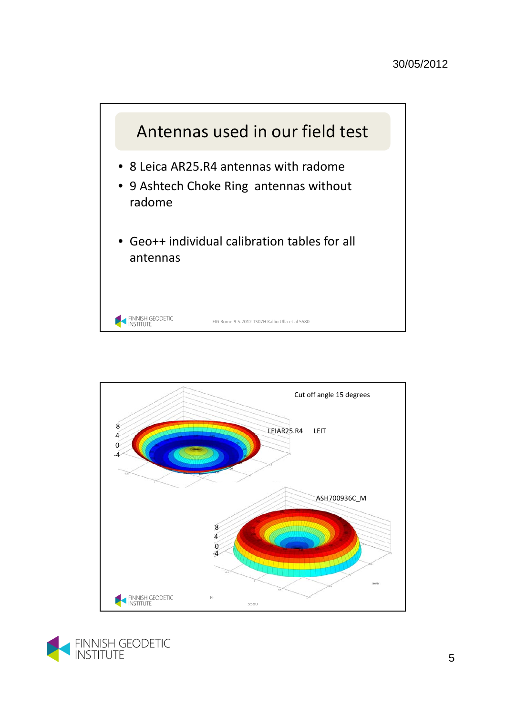



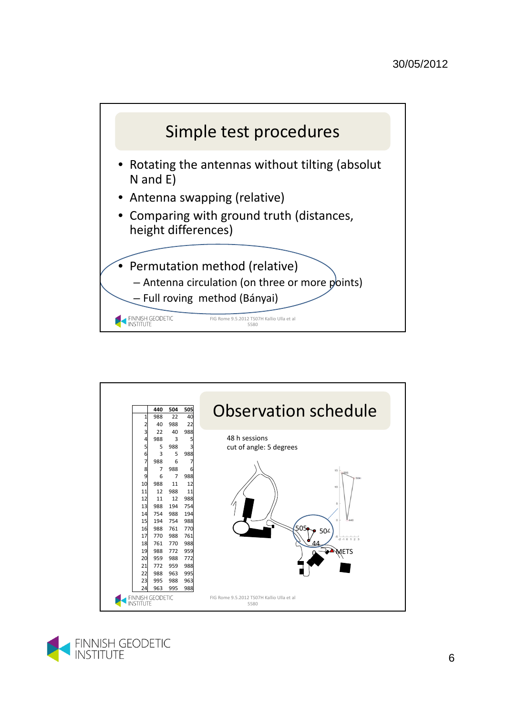



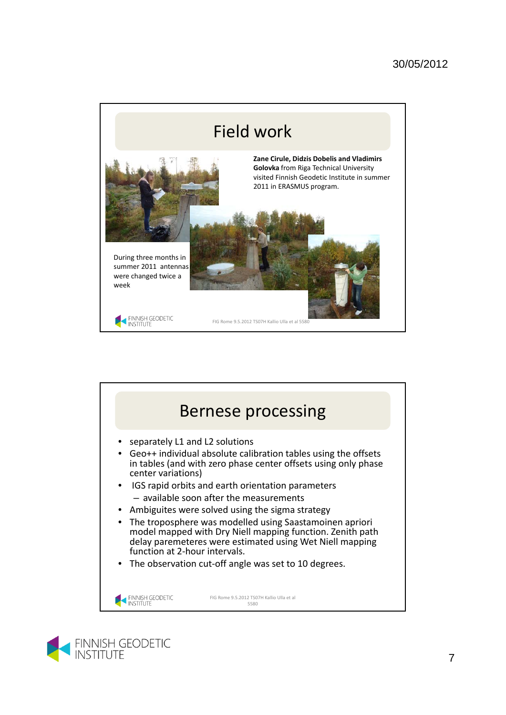



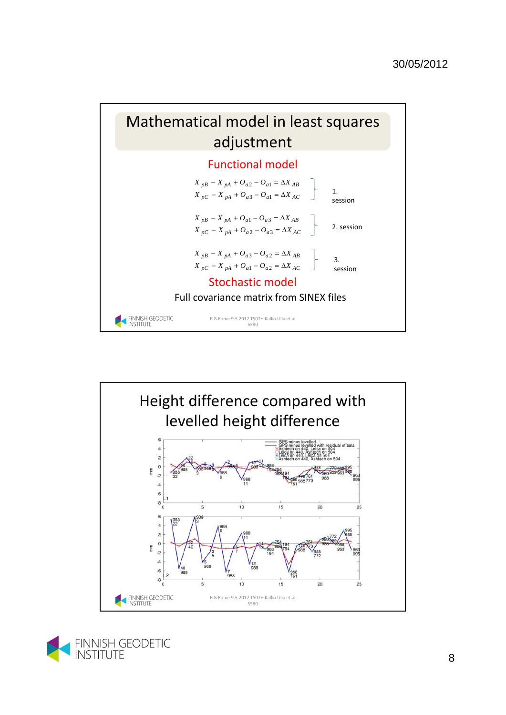





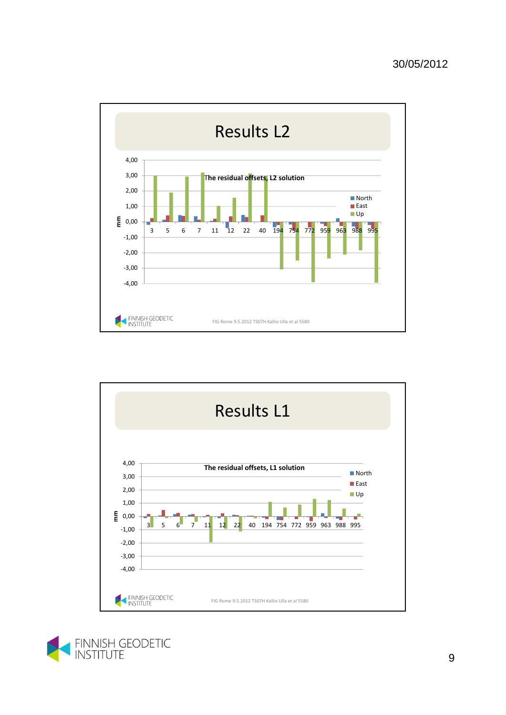